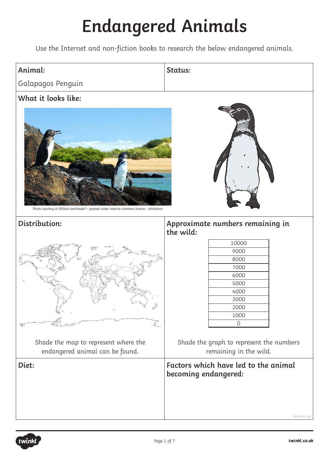## **Endangered Animals**

Use the Internet and non-fiction books to research the below endangered animals.

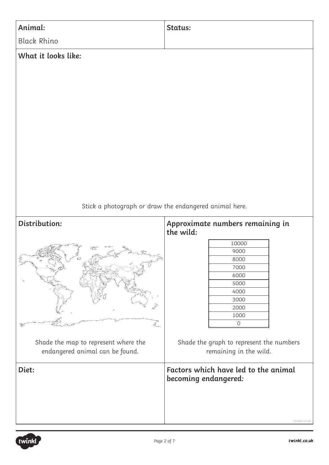

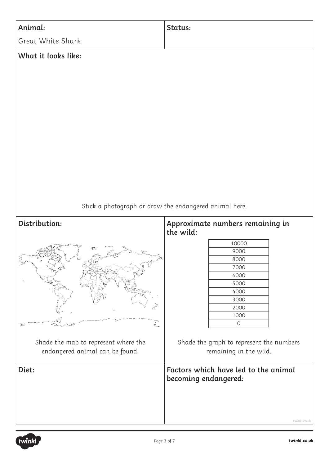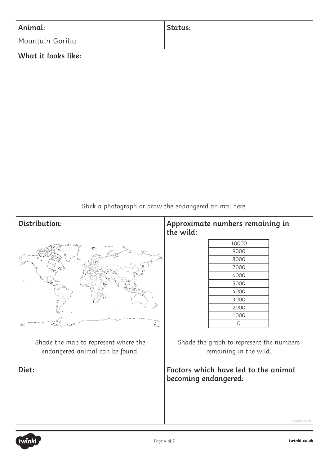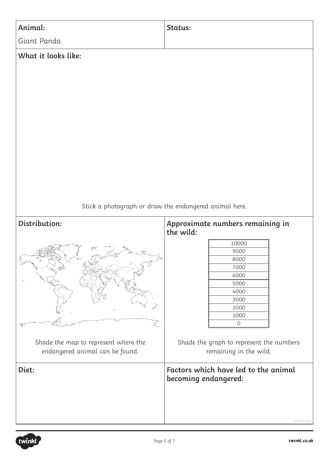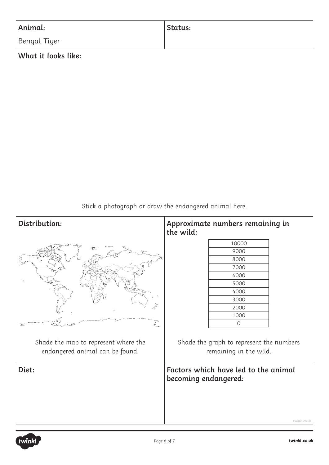